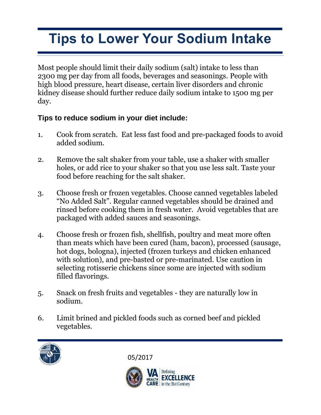## **Tips to Lower Your Sodium Intake**

Most people should limit their daily sodium (salt) intake to less than 2300 mg per day from all foods, beverages and seasonings. People with high blood pressure, heart disease, certain liver disorders and chronic kidney disease should further reduce daily sodium intake to 1500 mg per day.

## **Tips to reduce sodium in your diet include:**

- 1. Cook from scratch. Eat less fast food and pre-packaged foods to avoid added sodium.
- 2. Remove the salt shaker from your table, use a shaker with smaller holes, or add rice to your shaker so that you use less salt. Taste your food before reaching for the salt shaker.
- 3. Choose fresh or frozen vegetables. Choose canned vegetables labeled "No Added Salt". Regular canned vegetables should be drained and rinsed before cooking them in fresh water. Avoid vegetables that are packaged with added sauces and seasonings.
- 4. Choose fresh or frozen fish, shellfish, poultry and meat more often than meats which have been cured (ham, bacon), processed (sausage, hot dogs, bologna), injected (frozen turkeys and chicken enhanced with solution), and pre-basted or pre-marinated. Use caution in selecting rotisserie chickens since some are injected with sodium filled flavorings.
- 5. Snack on fresh fruits and vegetables they are naturally low in sodium.
- 6. Limit brined and pickled foods such as corned beef and pickled vegetables.



05/2017